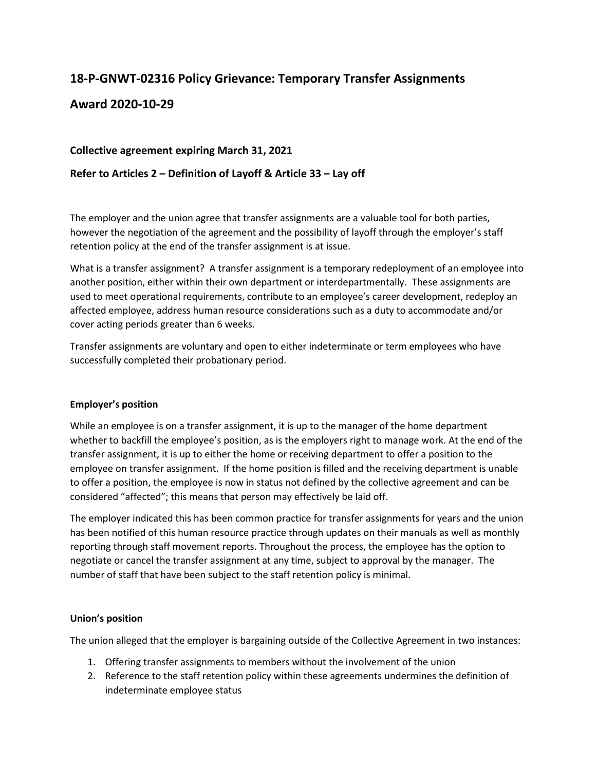# **18-P-GNWT-02316 Policy Grievance: Temporary Transfer Assignments**

## **Award 2020-10-29**

## **Collective agreement expiring March 31, 2021**

## **Refer to Articles 2 – Definition of Layoff & Article 33 – Lay off**

The employer and the union agree that transfer assignments are a valuable tool for both parties, however the negotiation of the agreement and the possibility of layoff through the employer's staff retention policy at the end of the transfer assignment is at issue.

What is a transfer assignment? A transfer assignment is a temporary redeployment of an employee into another position, either within their own department or interdepartmentally. These assignments are used to meet operational requirements, contribute to an employee's career development, redeploy an affected employee, address human resource considerations such as a duty to accommodate and/or cover acting periods greater than 6 weeks.

Transfer assignments are voluntary and open to either indeterminate or term employees who have successfully completed their probationary period.

#### **Employer's position**

While an employee is on a transfer assignment, it is up to the manager of the home department whether to backfill the employee's position, as is the employers right to manage work. At the end of the transfer assignment, it is up to either the home or receiving department to offer a position to the employee on transfer assignment. If the home position is filled and the receiving department is unable to offer a position, the employee is now in status not defined by the collective agreement and can be considered "affected"; this means that person may effectively be laid off.

The employer indicated this has been common practice for transfer assignments for years and the union has been notified of this human resource practice through updates on their manuals as well as monthly reporting through staff movement reports. Throughout the process, the employee has the option to negotiate or cancel the transfer assignment at any time, subject to approval by the manager. The number of staff that have been subject to the staff retention policy is minimal.

#### **Union's position**

The union alleged that the employer is bargaining outside of the Collective Agreement in two instances:

- 1. Offering transfer assignments to members without the involvement of the union
- 2. Reference to the staff retention policy within these agreements undermines the definition of indeterminate employee status